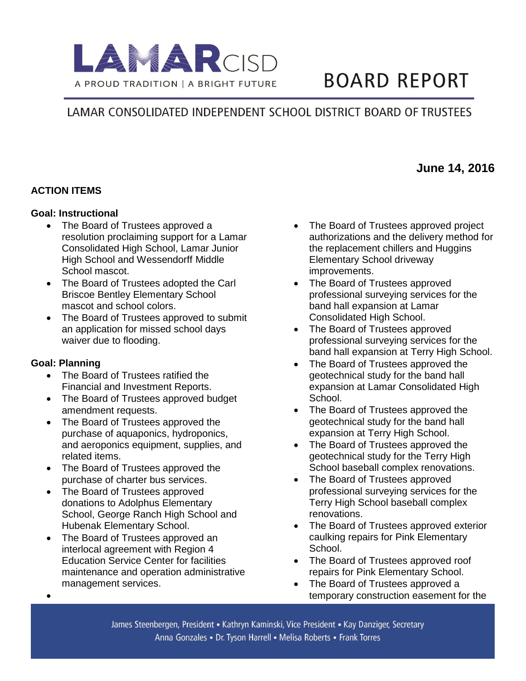

# **BOARD REPORT**

# LAMAR CONSOLIDATED INDEPENDENT SCHOOL DISTRICT BOARD OF TRUSTEES

#### **ACTION ITEMS**

#### **Goal: Instructional**

- The Board of Trustees approved a resolution proclaiming support for a Lamar Consolidated High School, Lamar Junior High School and Wessendorff Middle School mascot.
- The Board of Trustees adopted the Carl Briscoe Bentley Elementary School mascot and school colors.
- The Board of Trustees approved to submit an application for missed school days waiver due to flooding.

#### **Goal: Planning**

 $\bullet$ 

- The Board of Trustees ratified the Financial and Investment Reports.
- The Board of Trustees approved budget amendment requests.
- The Board of Trustees approved the purchase of aquaponics, hydroponics, and aeroponics equipment, supplies, and related items.
- The Board of Trustees approved the purchase of charter bus services.
- The Board of Trustees approved donations to Adolphus Elementary School, George Ranch High School and Hubenak Elementary School.
- The Board of Trustees approved an interlocal agreement with Region 4 Education Service Center for facilities maintenance and operation administrative management services.

 The Board of Trustees approved project authorizations and the delivery method for the replacement chillers and Huggins Elementary School driveway improvements.

**June 14, 2016** 

- The Board of Trustees approved professional surveying services for the band hall expansion at Lamar Consolidated High School.
- The Board of Trustees approved professional surveying services for the band hall expansion at Terry High School.
- The Board of Trustees approved the geotechnical study for the band hall expansion at Lamar Consolidated High School.
- The Board of Trustees approved the geotechnical study for the band hall expansion at Terry High School.
- The Board of Trustees approved the geotechnical study for the Terry High School baseball complex renovations.
- The Board of Trustees approved professional surveying services for the Terry High School baseball complex renovations.
- The Board of Trustees approved exterior caulking repairs for Pink Elementary School.
- The Board of Trustees approved roof repairs for Pink Elementary School.
- The Board of Trustees approved a temporary construction easement for the

James Steenbergen, President • Kathryn Kaminski, Vice President • Kay Danziger, Secretary Anna Gonzales • Dr. Tyson Harrell • Melisa Roberts • Frank Torres